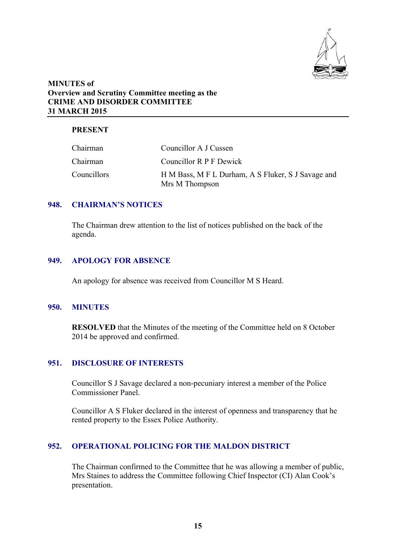

#### **MINUTES of Overview and Scrutiny Committee meeting as the CRIME AND DISORDER COMMITTEE 31 MARCH 2015**

## **PRESENT**

| Chairman           | Councillor A J Cussen                                                |
|--------------------|----------------------------------------------------------------------|
| Chairman           | Councillor R P F Dewick                                              |
| <b>Councillors</b> | H M Bass, M F L Durham, A S Fluker, S J Savage and<br>Mrs M Thompson |

#### **948. CHAIRMAN'S NOTICES**

The Chairman drew attention to the list of notices published on the back of the agenda.

#### **949. APOLOGY FOR ABSENCE**

An apology for absence was received from Councillor M S Heard.

#### **950. MINUTES**

**RESOLVED** that the Minutes of the meeting of the Committee held on 8 October 2014 be approved and confirmed.

## **951. DISCLOSURE OF INTERESTS**

Councillor S J Savage declared a non-pecuniary interest a member of the Police Commissioner Panel.

Councillor A S Fluker declared in the interest of openness and transparency that he rented property to the Essex Police Authority.

## **952. OPERATIONAL POLICING FOR THE MALDON DISTRICT**

The Chairman confirmed to the Committee that he was allowing a member of public, Mrs Staines to address the Committee following Chief Inspector (CI) Alan Cook's presentation.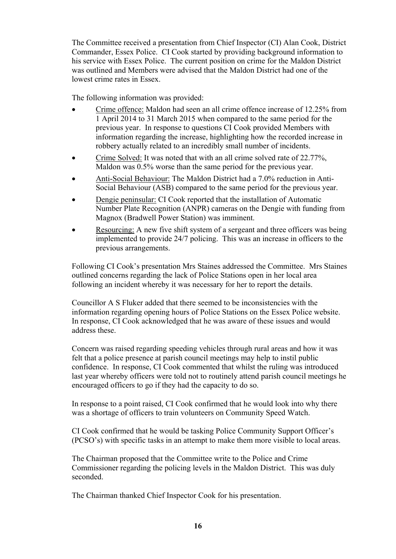The Committee received a presentation from Chief Inspector (CI) Alan Cook, District Commander, Essex Police. CI Cook started by providing background information to his service with Essex Police. The current position on crime for the Maldon District was outlined and Members were advised that the Maldon District had one of the lowest crime rates in Essex.

The following information was provided:

- Crime offence: Maldon had seen an all crime offence increase of 12.25% from 1 April 2014 to 31 March 2015 when compared to the same period for the previous year. In response to questions CI Cook provided Members with information regarding the increase, highlighting how the recorded increase in robbery actually related to an incredibly small number of incidents.
- Crime Solved: It was noted that with an all crime solved rate of 22.77%, Maldon was 0.5% worse than the same period for the previous year.
- Anti-Social Behaviour: The Maldon District had a 7.0% reduction in Anti-Social Behaviour (ASB) compared to the same period for the previous year.
- Dengie peninsular: CI Cook reported that the installation of Automatic Number Plate Recognition (ANPR) cameras on the Dengie with funding from Magnox (Bradwell Power Station) was imminent.
- Resourcing: A new five shift system of a sergeant and three officers was being implemented to provide 24/7 policing. This was an increase in officers to the previous arrangements.

Following CI Cook's presentation Mrs Staines addressed the Committee. Mrs Staines outlined concerns regarding the lack of Police Stations open in her local area following an incident whereby it was necessary for her to report the details.

Councillor A S Fluker added that there seemed to be inconsistencies with the information regarding opening hours of Police Stations on the Essex Police website. In response, CI Cook acknowledged that he was aware of these issues and would address these.

Concern was raised regarding speeding vehicles through rural areas and how it was felt that a police presence at parish council meetings may help to instil public confidence. In response, CI Cook commented that whilst the ruling was introduced last year whereby officers were told not to routinely attend parish council meetings he encouraged officers to go if they had the capacity to do so.

In response to a point raised, CI Cook confirmed that he would look into why there was a shortage of officers to train volunteers on Community Speed Watch.

CI Cook confirmed that he would be tasking Police Community Support Officer's (PCSO's) with specific tasks in an attempt to make them more visible to local areas.

The Chairman proposed that the Committee write to the Police and Crime Commissioner regarding the policing levels in the Maldon District. This was duly seconded.

The Chairman thanked Chief Inspector Cook for his presentation.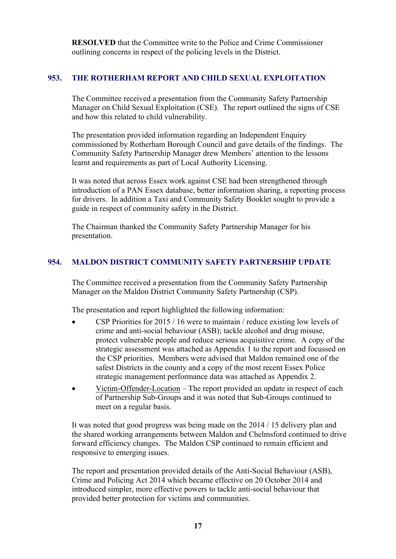**RESOLVED** that the Committee write to the Police and Crime Commissioner outlining concerns in respect of the policing levels in the District.

## **953. THE ROTHERHAM REPORT AND CHILD SEXUAL EXPLOITATION**

The Committee received a presentation from the Community Safety Partnership Manager on Child Sexual Exploitation (CSE). The report outlined the signs of CSE and how this related to child vulnerability.

The presentation provided information regarding an Independent Enquiry commissioned by Rotherham Borough Council and gave details of the findings. The Community Safety Partnership Manager drew Members' attention to the lessons learnt and requirements as part of Local Authority Licensing.

It was noted that across Essex work against CSE had been strengthened through introduction of a PAN Essex database, better information sharing, a reporting process for drivers. In addition a Taxi and Community Safety Booklet sought to provide a guide in respect of community safety in the District.

The Chairman thanked the Community Safety Partnership Manager for his presentation.

# **954. MALDON DISTRICT COMMUNITY SAFETY PARTNERSHIP UPDATE**

The Committee received a presentation from the Community Safety Partnership Manager on the Maldon District Community Safety Partnership (CSP).

The presentation and report highlighted the following information:

- CSP Priorities for 2015 / 16 were to maintain / reduce existing low levels of crime and anti-social behaviour (ASB); tackle alcohol and drug misuse, protect vulnerable people and reduce serious acquisitive crime. A copy of the strategic assessment was attached as Appendix 1 to the report and focussed on the CSP priorities. Members were advised that Maldon remained one of the safest Districts in the county and a copy of the most recent Essex Police strategic management performance data was attached as Appendix 2.
- Victim-Offender-Location The report provided an update in respect of each of Partnership Sub-Groups and it was noted that Sub-Groups continued to meet on a regular basis.

It was noted that good progress was being made on the 2014 / 15 delivery plan and the shared working arrangements between Maldon and Chelmsford continued to drive forward efficiency changes. The Maldon CSP continued to remain efficient and responsive to emerging issues.

The report and presentation provided details of the Anti-Social Behaviour (ASB), Crime and Policing Act 2014 which became effective on 20 October 2014 and introduced simpler, more effective powers to tackle anti-social behaviour that provided better protection for victims and communities.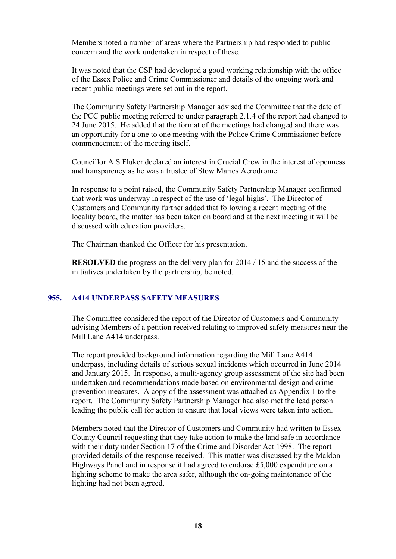Members noted a number of areas where the Partnership had responded to public concern and the work undertaken in respect of these.

It was noted that the CSP had developed a good working relationship with the office of the Essex Police and Crime Commissioner and details of the ongoing work and recent public meetings were set out in the report.

The Community Safety Partnership Manager advised the Committee that the date of the PCC public meeting referred to under paragraph 2.1.4 of the report had changed to 24 June 2015. He added that the format of the meetings had changed and there was an opportunity for a one to one meeting with the Police Crime Commissioner before commencement of the meeting itself.

Councillor A S Fluker declared an interest in Crucial Crew in the interest of openness and transparency as he was a trustee of Stow Maries Aerodrome.

In response to a point raised, the Community Safety Partnership Manager confirmed that work was underway in respect of the use of 'legal highs'. The Director of Customers and Community further added that following a recent meeting of the locality board, the matter has been taken on board and at the next meeting it will be discussed with education providers.

The Chairman thanked the Officer for his presentation.

**RESOLVED** the progress on the delivery plan for 2014 / 15 and the success of the initiatives undertaken by the partnership, be noted.

#### **955. A414 UNDERPASS SAFETY MEASURES**

The Committee considered the report of the Director of Customers and Community advising Members of a petition received relating to improved safety measures near the Mill Lane A414 underpass.

The report provided background information regarding the Mill Lane A414 underpass, including details of serious sexual incidents which occurred in June 2014 and January 2015. In response, a multi-agency group assessment of the site had been undertaken and recommendations made based on environmental design and crime prevention measures. A copy of the assessment was attached as Appendix 1 to the report. The Community Safety Partnership Manager had also met the lead person leading the public call for action to ensure that local views were taken into action.

Members noted that the Director of Customers and Community had written to Essex County Council requesting that they take action to make the land safe in accordance with their duty under Section 17 of the Crime and Disorder Act 1998. The report provided details of the response received. This matter was discussed by the Maldon Highways Panel and in response it had agreed to endorse £5,000 expenditure on a lighting scheme to make the area safer, although the on-going maintenance of the lighting had not been agreed.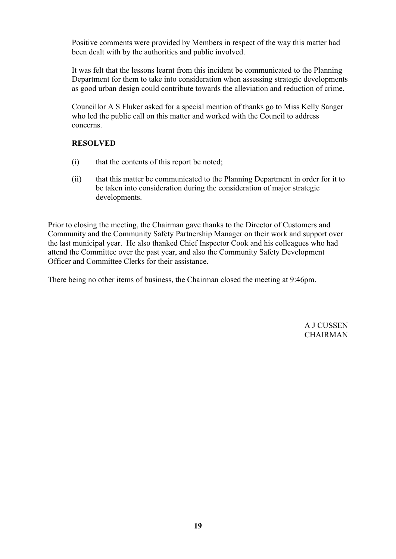Positive comments were provided by Members in respect of the way this matter had been dealt with by the authorities and public involved.

It was felt that the lessons learnt from this incident be communicated to the Planning Department for them to take into consideration when assessing strategic developments as good urban design could contribute towards the alleviation and reduction of crime.

Councillor A S Fluker asked for a special mention of thanks go to Miss Kelly Sanger who led the public call on this matter and worked with the Council to address concerns.

## **RESOLVED**

- (i) that the contents of this report be noted;
- (ii) that this matter be communicated to the Planning Department in order for it to be taken into consideration during the consideration of major strategic developments.

Prior to closing the meeting, the Chairman gave thanks to the Director of Customers and Community and the Community Safety Partnership Manager on their work and support over the last municipal year. He also thanked Chief Inspector Cook and his colleagues who had attend the Committee over the past year, and also the Community Safety Development Officer and Committee Clerks for their assistance.

There being no other items of business, the Chairman closed the meeting at 9:46pm.

A J CUSSEN **CHAIRMAN**